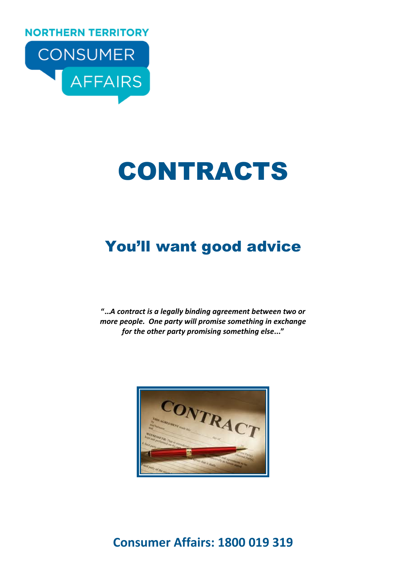**NORTHERN TERRITORY** 



# CONTRACTS

# You'll want good advice

"…A contract is a legally binding agreement between two or more people. One party will promise something in exchange for the other party promising something else..."

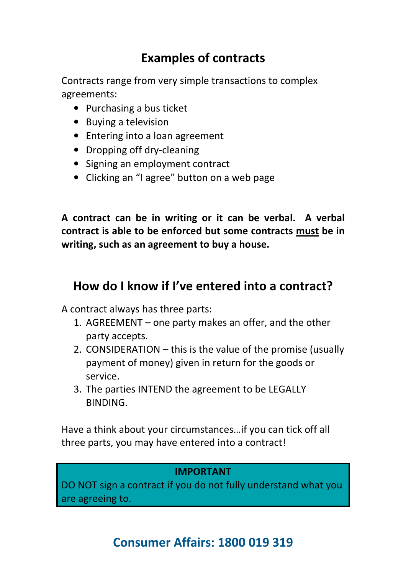# Examples of contracts

Contracts range from very simple transactions to complex agreements:

- Purchasing a bus ticket
- Buying a television
- Entering into a loan agreement
- Dropping off dry-cleaning
- Signing an employment contract
- Clicking an "I agree" button on a web page

A contract can be in writing or it can be verbal. A verbal contract is able to be enforced but some contracts must be in writing, such as an agreement to buy a house.

#### How do I know if I've entered into a contract?

A contract always has three parts:

- 1. AGREEMENT one party makes an offer, and the other party accepts.
- 2. CONSIDERATION this is the value of the promise (usually payment of money) given in return for the goods or service.
- 3. The parties INTEND the agreement to be LEGALLY **BINDING**

Have a think about your circumstances…if you can tick off all three parts, you may have entered into a contract!

#### IMPORTANT

DO NOT sign a contract if you do not fully understand what you are agreeing to.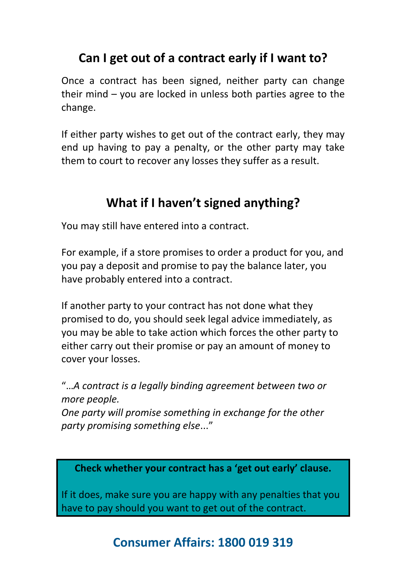# Can I get out of a contract early if I want to?

Once a contract has been signed, neither party can change their mind – you are locked in unless both parties agree to the change.

If either party wishes to get out of the contract early, they may end up having to pay a penalty, or the other party may take them to court to recover any losses they suffer as a result.

# What if I haven't signed anything?

You may still have entered into a contract.

For example, if a store promises to order a product for you, and you pay a deposit and promise to pay the balance later, you have probably entered into a contract.

If another party to your contract has not done what they promised to do, you should seek legal advice immediately, as you may be able to take action which forces the other party to either carry out their promise or pay an amount of money to cover your losses.

"…A contract is a legally binding agreement between two or more people. One party will promise something in exchange for the other party promising something else..."

Check whether your contract has a 'get out early' clause.

If it does, make sure you are happy with any penalties that you have to pay should you want to get out of the contract.